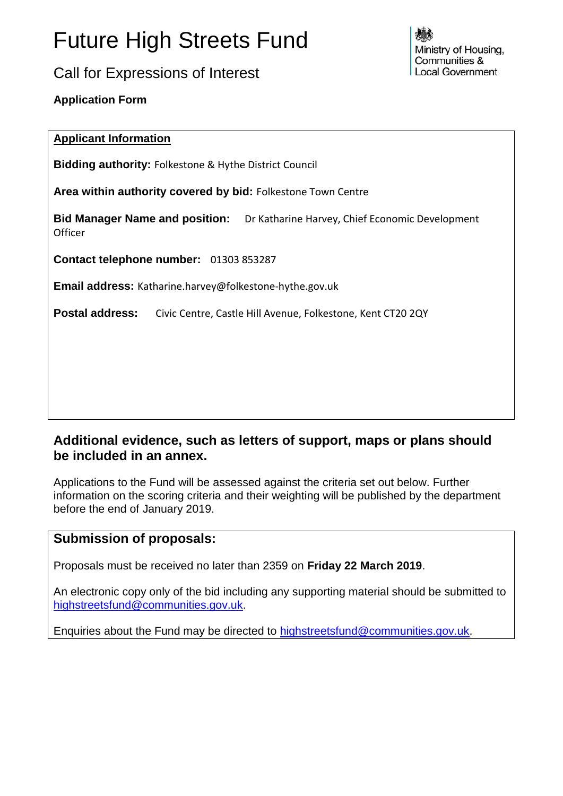# Future High Streets Fund

Call for Expressions of Interest

Ministry of Housing. Communities & **Local Government** 

**Application Form**

## **Applicant Information**

**Bidding authority:** Folkestone & Hythe District Council

**Area within authority covered by bid:** Folkestone Town Centre

**Bid Manager Name and position:** Dr Katharine Harvey, Chief Economic Development **Officer** 

**Contact telephone number:** 01303 853287

**Email address:** Katharine.harvey@folkestone-hythe.gov.uk

**Postal address:** Civic Centre, Castle Hill Avenue, Folkestone, Kent CT20 2QY

## **Additional evidence, such as letters of support, maps or plans should be included in an annex.**

Applications to the Fund will be assessed against the criteria set out below. Further information on the scoring criteria and their weighting will be published by the department before the end of January 2019.

## **Submission of proposals:**

Proposals must be received no later than 2359 on **Friday 22 March 2019**.

An electronic copy only of the bid including any supporting material should be submitted to [highstreetsfund@communities.gov.uk.](mailto:highstreetsfund@communities.gov.uk)

Enquiries about the Fund may be directed to [highstreetsfund@communities.gov.uk.](mailto:highstreetsfund@communities.gov.uk)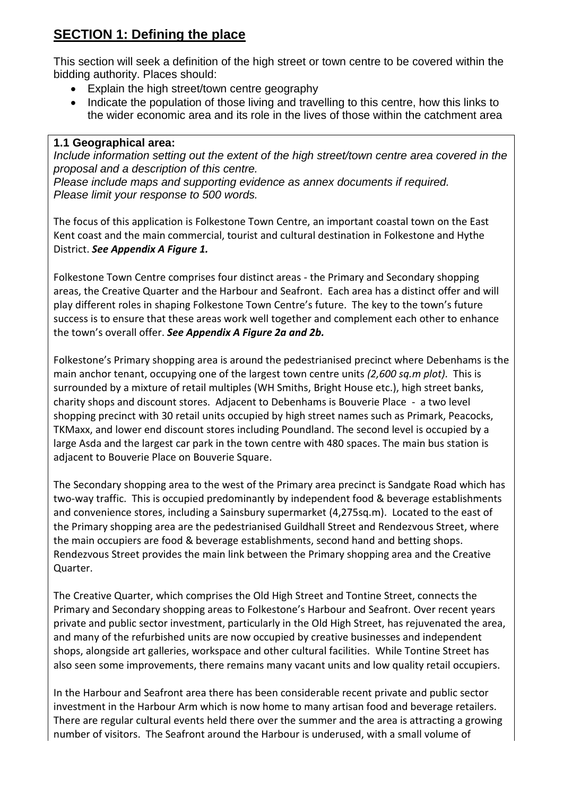# **SECTION 1: Defining the place**

This section will seek a definition of the high street or town centre to be covered within the bidding authority. Places should:

- Explain the high street/town centre geography
- Indicate the population of those living and travelling to this centre, how this links to the wider economic area and its role in the lives of those within the catchment area

#### **1.1 Geographical area:**

*Include information setting out the extent of the high street/town centre area covered in the proposal and a description of this centre.*

*Please include maps and supporting evidence as annex documents if required. Please limit your response to 500 words.*

The focus of this application is Folkestone Town Centre, an important coastal town on the East Kent coast and the main commercial, tourist and cultural destination in Folkestone and Hythe District. *See Appendix A Figure 1.*

Folkestone Town Centre comprises four distinct areas - the Primary and Secondary shopping areas, the Creative Quarter and the Harbour and Seafront. Each area has a distinct offer and will play different roles in shaping Folkestone Town Centre's future. The key to the town's future success is to ensure that these areas work well together and complement each other to enhance the town's overall offer. *See Appendix A Figure 2a and 2b.*

Folkestone's Primary shopping area is around the pedestrianised precinct where Debenhams is the main anchor tenant, occupying one of the largest town centre units *(2,600 sq.m plot)*. This is surrounded by a mixture of retail multiples (WH Smiths, Bright House etc.), high street banks, charity shops and discount stores. Adjacent to Debenhams is Bouverie Place - a two level shopping precinct with 30 retail units occupied by high street names such as Primark, Peacocks, TKMaxx, and lower end discount stores including Poundland. The second level is occupied by a large Asda and the largest car park in the town centre with 480 spaces. The main bus station is adjacent to Bouverie Place on Bouverie Square.

The Secondary shopping area to the west of the Primary area precinct is Sandgate Road which has two-way traffic. This is occupied predominantly by independent food & beverage establishments and convenience stores, including a Sainsbury supermarket (4,275sq.m). Located to the east of the Primary shopping area are the pedestrianised Guildhall Street and Rendezvous Street, where the main occupiers are food & beverage establishments, second hand and betting shops. Rendezvous Street provides the main link between the Primary shopping area and the Creative Quarter.

The Creative Quarter, which comprises the Old High Street and Tontine Street, connects the Primary and Secondary shopping areas to Folkestone's Harbour and Seafront. Over recent years private and public sector investment, particularly in the Old High Street, has rejuvenated the area, and many of the refurbished units are now occupied by creative businesses and independent shops, alongside art galleries, workspace and other cultural facilities. While Tontine Street has also seen some improvements, there remains many vacant units and low quality retail occupiers.

In the Harbour and Seafront area there has been considerable recent private and public sector investment in the Harbour Arm which is now home to many artisan food and beverage retailers. There are regular cultural events held there over the summer and the area is attracting a growing number of visitors. The Seafront around the Harbour is underused, with a small volume of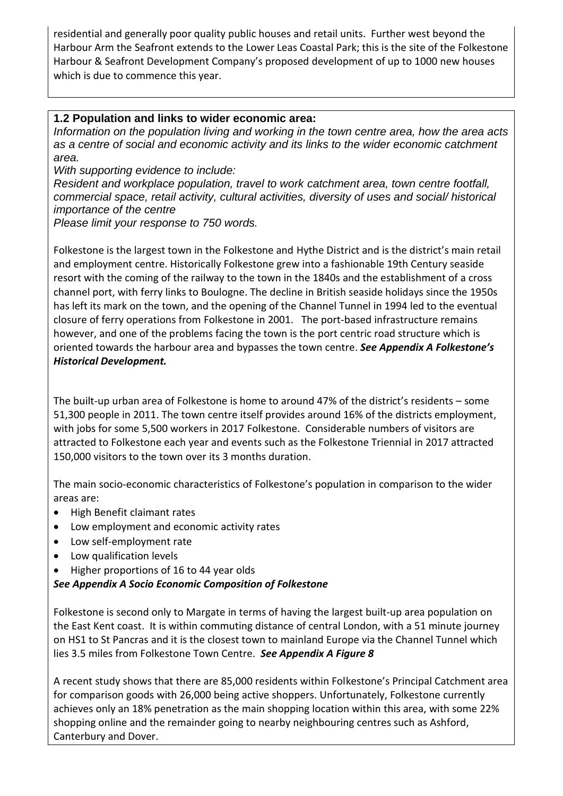residential and generally poor quality public houses and retail units. Further west beyond the Harbour Arm the Seafront extends to the Lower Leas Coastal Park; this is the site of the Folkestone Harbour & Seafront Development Company's proposed development of up to 1000 new houses which is due to commence this year.

#### **1.2 Population and links to wider economic area:**

*Information on the population living and working in the town centre area, how the area acts as a centre of social and economic activity and its links to the wider economic catchment area.*

*With supporting evidence to include:*

*Resident and workplace population, travel to work catchment area, town centre footfall, commercial space, retail activity, cultural activities, diversity of uses and social/ historical importance of the centre*

*Please limit your response to 750 words.*

Folkestone is the largest town in the Folkestone and Hythe District and is the district's main retail and employment centre. Historically Folkestone grew into a fashionable 19th Century seaside resort with the coming of the railway to the town in the 1840s and the establishment of a cross channel port, with ferry links to Boulogne. The decline in British seaside holidays since the 1950s has left its mark on the town, and the opening of the Channel Tunnel in 1994 led to the eventual closure of ferry operations from Folkestone in 2001. The port-based infrastructure remains however, and one of the problems facing the town is the port centric road structure which is oriented towards the harbour area and bypasses the town centre. *See Appendix A Folkestone's Historical Development.*

The built-up urban area of Folkestone is home to around 47% of the district's residents – some 51,300 people in 2011. The town centre itself provides around 16% of the districts employment, with jobs for some 5,500 workers in 2017 Folkestone. Considerable numbers of visitors are attracted to Folkestone each year and events such as the Folkestone Triennial in 2017 attracted 150,000 visitors to the town over its 3 months duration.

The main socio-economic characteristics of Folkestone's population in comparison to the wider areas are:

- High Benefit claimant rates
- Low employment and economic activity rates
- Low self-employment rate
- Low qualification levels
- Higher proportions of 16 to 44 year olds

#### *See Appendix A Socio Economic Composition of Folkestone*

Folkestone is second only to Margate in terms of having the largest built-up area population on the East Kent coast. It is within commuting distance of central London, with a 51 minute journey on HS1 to St Pancras and it is the closest town to mainland Europe via the Channel Tunnel which lies 3.5 miles from Folkestone Town Centre. *See Appendix A Figure 8*

A recent study shows that there are 85,000 residents within Folkestone's Principal Catchment area for comparison goods with 26,000 being active shoppers. Unfortunately, Folkestone currently achieves only an 18% penetration as the main shopping location within this area, with some 22% shopping online and the remainder going to nearby neighbouring centres such as Ashford, Canterbury and Dover.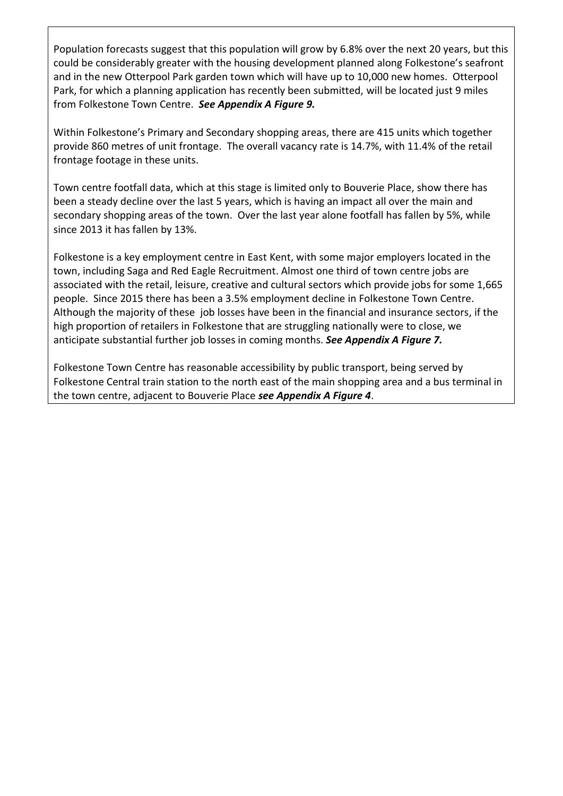Population forecasts suggest that this population will grow by 6.8% over the next 20 years, but this could be considerably greater with the housing development planned along Folkestone's seafront and in the new Otterpool Park garden town which will have up to 10,000 new homes. Otterpool Park, for which a planning application has recently been submitted, will be located just 9 miles from Folkestone Town Centre. *See Appendix A Figure 9.*

Within Folkestone's Primary and Secondary shopping areas, there are 415 units which together provide 860 metres of unit frontage. The overall vacancy rate is 14.7%, with 11.4% of the retail frontage footage in these units.

Town centre footfall data, which at this stage is limited only to Bouverie Place, show there has been a steady decline over the last 5 years, which is having an impact all over the main and secondary shopping areas of the town. Over the last year alone footfall has fallen by 5%, while since 2013 it has fallen by 13%.

Folkestone is a key employment centre in East Kent, with some major employers located in the town, including Saga and Red Eagle Recruitment. Almost one third of town centre jobs are associated with the retail, leisure, creative and cultural sectors which provide jobs for some 1,665 people. Since 2015 there has been a 3.5% employment decline in Folkestone Town Centre. Although the majority of these job losses have been in the financial and insurance sectors, if the high proportion of retailers in Folkestone that are struggling nationally were to close, we anticipate substantial further job losses in coming months. *See Appendix A Figure 7.*

Folkestone Town Centre has reasonable accessibility by public transport, being served by Folkestone Central train station to the north east of the main shopping area and a bus terminal in the town centre, adjacent to Bouverie Place *see Appendix A Figure 4*.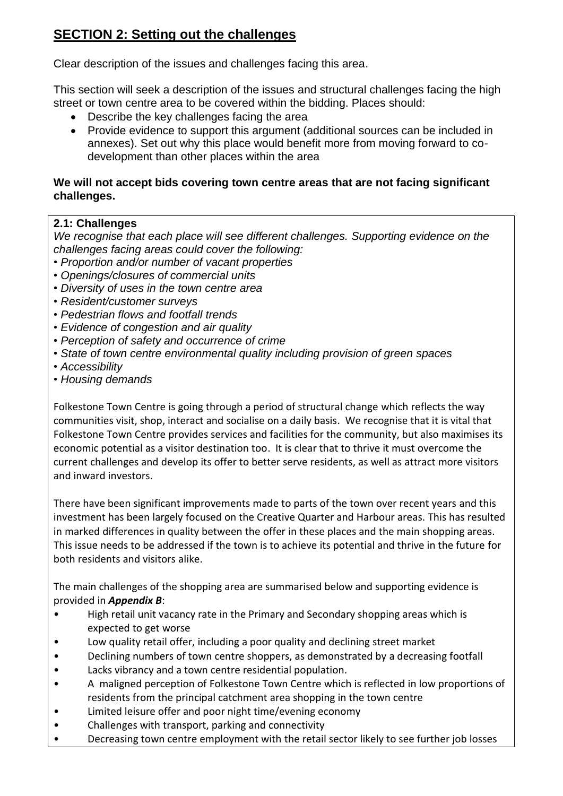# **SECTION 2: Setting out the challenges**

Clear description of the issues and challenges facing this area.

This section will seek a description of the issues and structural challenges facing the high street or town centre area to be covered within the bidding. Places should:

- Describe the key challenges facing the area
- Provide evidence to support this argument (additional sources can be included in annexes). Set out why this place would benefit more from moving forward to codevelopment than other places within the area

#### **We will not accept bids covering town centre areas that are not facing significant challenges.**

## **2.1: Challenges**

*We recognise that each place will see different challenges. Supporting evidence on the challenges facing areas could cover the following:*

- *Proportion and/or number of vacant properties*
- *• Openings/closures of commercial units*
- *• Diversity of uses in the town centre area*
- *• Resident/customer surveys*
- *• Pedestrian flows and footfall trends*
- *• Evidence of congestion and air quality*
- *• Perception of safety and occurrence of crime*
- *• State of town centre environmental quality including provision of green spaces*
- *• Accessibility*
- *• Housing demands*

Folkestone Town Centre is going through a period of structural change which reflects the way communities visit, shop, interact and socialise on a daily basis. We recognise that it is vital that Folkestone Town Centre provides services and facilities for the community, but also maximises its economic potential as a visitor destination too. It is clear that to thrive it must overcome the current challenges and develop its offer to better serve residents, as well as attract more visitors and inward investors.

There have been significant improvements made to parts of the town over recent years and this investment has been largely focused on the Creative Quarter and Harbour areas. This has resulted in marked differences in quality between the offer in these places and the main shopping areas. This issue needs to be addressed if the town is to achieve its potential and thrive in the future for both residents and visitors alike.

The main challenges of the shopping area are summarised below and supporting evidence is provided in *Appendix B*:

- High retail unit vacancy rate in the Primary and Secondary shopping areas which is expected to get worse
- Low quality retail offer, including a poor quality and declining street market
- Declining numbers of town centre shoppers, as demonstrated by a decreasing footfall
- Lacks vibrancy and a town centre residential population.
- A maligned perception of Folkestone Town Centre which is reflected in low proportions of residents from the principal catchment area shopping in the town centre
- Limited leisure offer and poor night time/evening economy
- Challenges with transport, parking and connectivity
- Decreasing town centre employment with the retail sector likely to see further job losses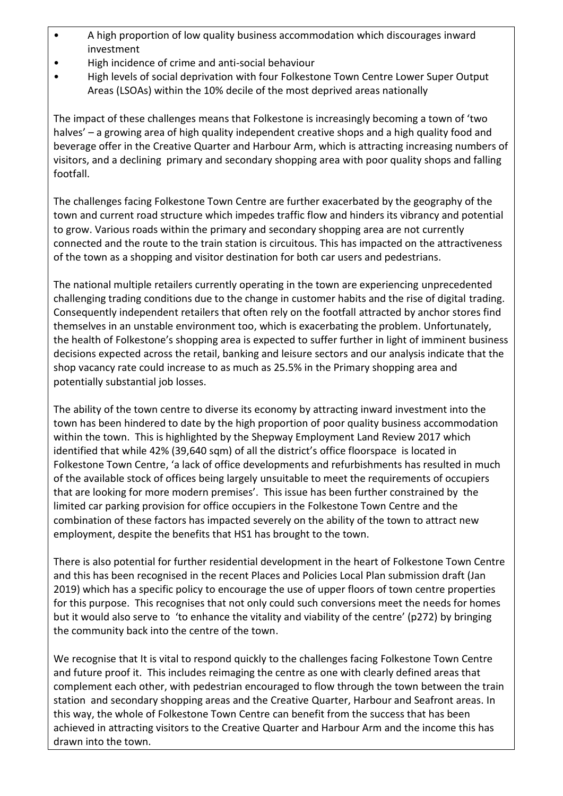- A high proportion of low quality business accommodation which discourages inward investment
- High incidence of crime and anti-social behaviour
- High levels of social deprivation with four Folkestone Town Centre Lower Super Output Areas (LSOAs) within the 10% decile of the most deprived areas nationally

The impact of these challenges means that Folkestone is increasingly becoming a town of 'two halves' – a growing area of high quality independent creative shops and a high quality food and beverage offer in the Creative Quarter and Harbour Arm, which is attracting increasing numbers of visitors, and a declining primary and secondary shopping area with poor quality shops and falling footfall.

The challenges facing Folkestone Town Centre are further exacerbated by the geography of the town and current road structure which impedes traffic flow and hinders its vibrancy and potential to grow. Various roads within the primary and secondary shopping area are not currently connected and the route to the train station is circuitous. This has impacted on the attractiveness of the town as a shopping and visitor destination for both car users and pedestrians.

The national multiple retailers currently operating in the town are experiencing unprecedented challenging trading conditions due to the change in customer habits and the rise of digital trading. Consequently independent retailers that often rely on the footfall attracted by anchor stores find themselves in an unstable environment too, which is exacerbating the problem. Unfortunately, the health of Folkestone's shopping area is expected to suffer further in light of imminent business decisions expected across the retail, banking and leisure sectors and our analysis indicate that the shop vacancy rate could increase to as much as 25.5% in the Primary shopping area and potentially substantial job losses.

The ability of the town centre to diverse its economy by attracting inward investment into the town has been hindered to date by the high proportion of poor quality business accommodation within the town. This is highlighted by the Shepway Employment Land Review 2017 which identified that while 42% (39,640 sqm) of all the district's office floorspace is located in Folkestone Town Centre, 'a lack of office developments and refurbishments has resulted in much of the available stock of offices being largely unsuitable to meet the requirements of occupiers that are looking for more modern premises'. This issue has been further constrained by the limited car parking provision for office occupiers in the Folkestone Town Centre and the combination of these factors has impacted severely on the ability of the town to attract new employment, despite the benefits that HS1 has brought to the town.

There is also potential for further residential development in the heart of Folkestone Town Centre and this has been recognised in the recent Places and Policies Local Plan submission draft (Jan 2019) which has a specific policy to encourage the use of upper floors of town centre properties for this purpose. This recognises that not only could such conversions meet the needs for homes but it would also serve to 'to enhance the vitality and viability of the centre' (p272) by bringing the community back into the centre of the town.

We recognise that It is vital to respond quickly to the challenges facing Folkestone Town Centre and future proof it. This includes reimaging the centre as one with clearly defined areas that complement each other, with pedestrian encouraged to flow through the town between the train station and secondary shopping areas and the Creative Quarter, Harbour and Seafront areas. In this way, the whole of Folkestone Town Centre can benefit from the success that has been achieved in attracting visitors to the Creative Quarter and Harbour Arm and the income this has drawn into the town.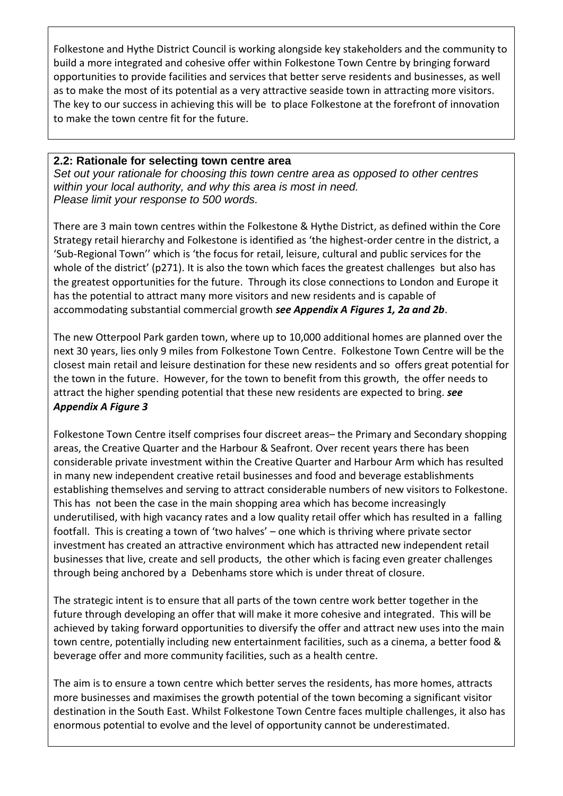Folkestone and Hythe District Council is working alongside key stakeholders and the community to build a more integrated and cohesive offer within Folkestone Town Centre by bringing forward opportunities to provide facilities and services that better serve residents and businesses, as well as to make the most of its potential as a very attractive seaside town in attracting more visitors. The key to our success in achieving this will be to place Folkestone at the forefront of innovation to make the town centre fit for the future.

#### **2.2: Rationale for selecting town centre area**

*Set out your rationale for choosing this town centre area as opposed to other centres within your local authority, and why this area is most in need. Please limit your response to 500 words.*

There are 3 main town centres within the Folkestone & Hythe District, as defined within the Core Strategy retail hierarchy and Folkestone is identified as 'the highest-order centre in the district, a 'Sub-Regional Town'' which is 'the focus for retail, leisure, cultural and public services for the whole of the district' (p271). It is also the town which faces the greatest challenges but also has the greatest opportunities for the future. Through its close connections to London and Europe it has the potential to attract many more visitors and new residents and is capable of accommodating substantial commercial growth *see Appendix A Figures 1, 2a and 2b*.

The new Otterpool Park garden town, where up to 10,000 additional homes are planned over the next 30 years, lies only 9 miles from Folkestone Town Centre. Folkestone Town Centre will be the closest main retail and leisure destination for these new residents and so offers great potential for the town in the future. However, for the town to benefit from this growth, the offer needs to attract the higher spending potential that these new residents are expected to bring. *see Appendix A Figure 3*

Folkestone Town Centre itself comprises four discreet areas– the Primary and Secondary shopping areas, the Creative Quarter and the Harbour & Seafront. Over recent years there has been considerable private investment within the Creative Quarter and Harbour Arm which has resulted in many new independent creative retail businesses and food and beverage establishments establishing themselves and serving to attract considerable numbers of new visitors to Folkestone. This has not been the case in the main shopping area which has become increasingly underutilised, with high vacancy rates and a low quality retail offer which has resulted in a falling footfall. This is creating a town of 'two halves' – one which is thriving where private sector investment has created an attractive environment which has attracted new independent retail businesses that live, create and sell products, the other which is facing even greater challenges through being anchored by a Debenhams store which is under threat of closure.

The strategic intent is to ensure that all parts of the town centre work better together in the future through developing an offer that will make it more cohesive and integrated. This will be achieved by taking forward opportunities to diversify the offer and attract new uses into the main town centre, potentially including new entertainment facilities, such as a cinema, a better food & beverage offer and more community facilities, such as a health centre.

The aim is to ensure a town centre which better serves the residents, has more homes, attracts more businesses and maximises the growth potential of the town becoming a significant visitor destination in the South East. Whilst Folkestone Town Centre faces multiple challenges, it also has enormous potential to evolve and the level of opportunity cannot be underestimated.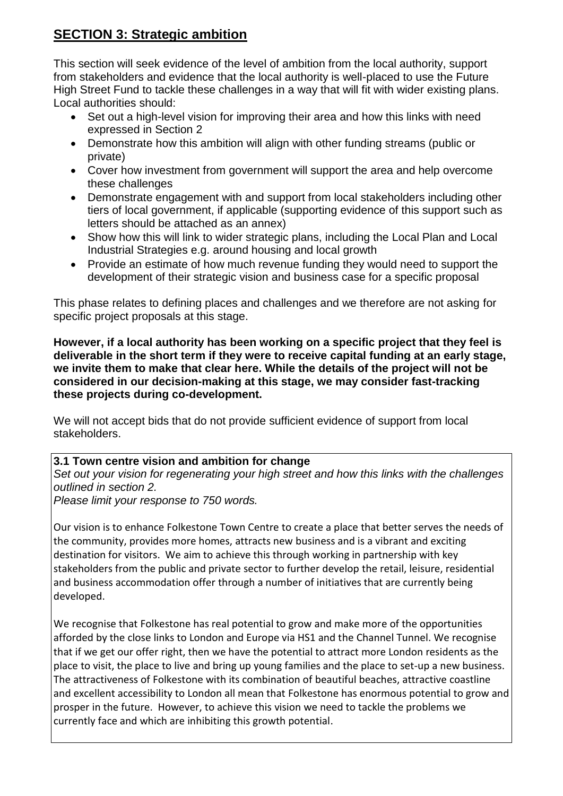# **SECTION 3: Strategic ambition**

This section will seek evidence of the level of ambition from the local authority, support from stakeholders and evidence that the local authority is well-placed to use the Future High Street Fund to tackle these challenges in a way that will fit with wider existing plans. Local authorities should:

- Set out a high-level vision for improving their area and how this links with need expressed in Section 2
- Demonstrate how this ambition will align with other funding streams (public or private)
- Cover how investment from government will support the area and help overcome these challenges
- Demonstrate engagement with and support from local stakeholders including other tiers of local government, if applicable (supporting evidence of this support such as letters should be attached as an annex)
- Show how this will link to wider strategic plans, including the Local Plan and Local Industrial Strategies e.g. around housing and local growth
- Provide an estimate of how much revenue funding they would need to support the development of their strategic vision and business case for a specific proposal

This phase relates to defining places and challenges and we therefore are not asking for specific project proposals at this stage.

**However, if a local authority has been working on a specific project that they feel is deliverable in the short term if they were to receive capital funding at an early stage, we invite them to make that clear here. While the details of the project will not be considered in our decision-making at this stage, we may consider fast-tracking these projects during co-development.**

We will not accept bids that do not provide sufficient evidence of support from local stakeholders.

#### **3.1 Town centre vision and ambition for change**

*Set out your vision for regenerating your high street and how this links with the challenges outlined in section 2.*

*Please limit your response to 750 words.*

Our vision is to enhance Folkestone Town Centre to create a place that better serves the needs of the community, provides more homes, attracts new business and is a vibrant and exciting destination for visitors. We aim to achieve this through working in partnership with key stakeholders from the public and private sector to further develop the retail, leisure, residential and business accommodation offer through a number of initiatives that are currently being developed.

We recognise that Folkestone has real potential to grow and make more of the opportunities afforded by the close links to London and Europe via HS1 and the Channel Tunnel. We recognise that if we get our offer right, then we have the potential to attract more London residents as the place to visit, the place to live and bring up young families and the place to set-up a new business. The attractiveness of Folkestone with its combination of beautiful beaches, attractive coastline and excellent accessibility to London all mean that Folkestone has enormous potential to grow and prosper in the future. However, to achieve this vision we need to tackle the problems we currently face and which are inhibiting this growth potential.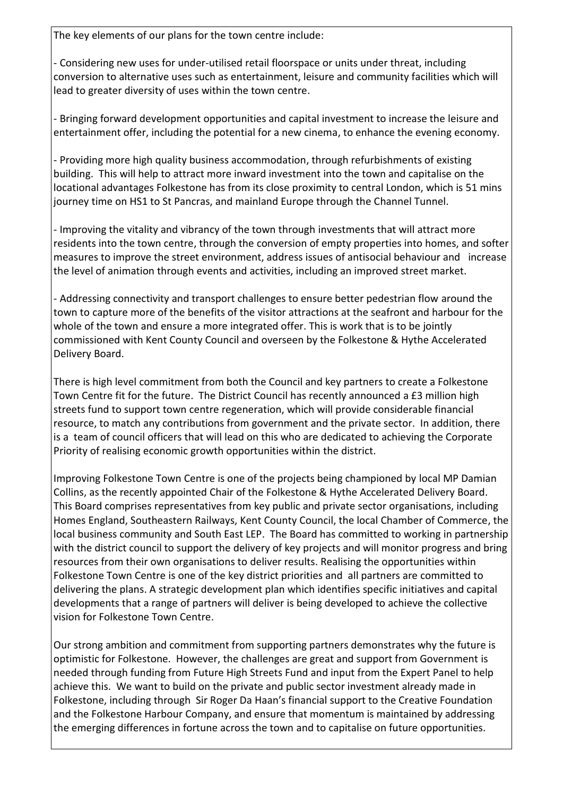The key elements of our plans for the town centre include:

- Considering new uses for under-utilised retail floorspace or units under threat, including conversion to alternative uses such as entertainment, leisure and community facilities which will lead to greater diversity of uses within the town centre.

- Bringing forward development opportunities and capital investment to increase the leisure and entertainment offer, including the potential for a new cinema, to enhance the evening economy.

- Providing more high quality business accommodation, through refurbishments of existing building. This will help to attract more inward investment into the town and capitalise on the locational advantages Folkestone has from its close proximity to central London, which is 51 mins journey time on HS1 to St Pancras, and mainland Europe through the Channel Tunnel.

- Improving the vitality and vibrancy of the town through investments that will attract more residents into the town centre, through the conversion of empty properties into homes, and softer measures to improve the street environment, address issues of antisocial behaviour and increase the level of animation through events and activities, including an improved street market.

- Addressing connectivity and transport challenges to ensure better pedestrian flow around the town to capture more of the benefits of the visitor attractions at the seafront and harbour for the whole of the town and ensure a more integrated offer. This is work that is to be jointly commissioned with Kent County Council and overseen by the Folkestone & Hythe Accelerated Delivery Board.

There is high level commitment from both the Council and key partners to create a Folkestone Town Centre fit for the future. The District Council has recently announced a £3 million high streets fund to support town centre regeneration, which will provide considerable financial resource, to match any contributions from government and the private sector. In addition, there is a team of council officers that will lead on this who are dedicated to achieving the Corporate Priority of realising economic growth opportunities within the district.

Improving Folkestone Town Centre is one of the projects being championed by local MP Damian Collins, as the recently appointed Chair of the Folkestone & Hythe Accelerated Delivery Board. This Board comprises representatives from key public and private sector organisations, including Homes England, Southeastern Railways, Kent County Council, the local Chamber of Commerce, the local business community and South East LEP. The Board has committed to working in partnership with the district council to support the delivery of key projects and will monitor progress and bring resources from their own organisations to deliver results. Realising the opportunities within Folkestone Town Centre is one of the key district priorities and all partners are committed to delivering the plans. A strategic development plan which identifies specific initiatives and capital developments that a range of partners will deliver is being developed to achieve the collective vision for Folkestone Town Centre.

Our strong ambition and commitment from supporting partners demonstrates why the future is optimistic for Folkestone. However, the challenges are great and support from Government is needed through funding from Future High Streets Fund and input from the Expert Panel to help achieve this. We want to build on the private and public sector investment already made in Folkestone, including through Sir Roger Da Haan's financial support to the Creative Foundation and the Folkestone Harbour Company, and ensure that momentum is maintained by addressing the emerging differences in fortune across the town and to capitalise on future opportunities.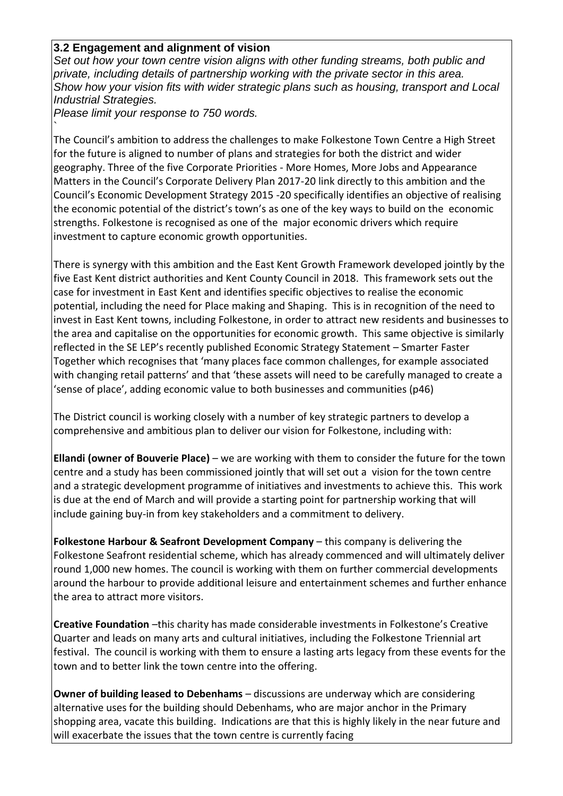#### **3.2 Engagement and alignment of vision**

*Set out how your town centre vision aligns with other funding streams, both public and private, including details of partnership working with the private sector in this area. Show how your vision fits with wider strategic plans such as housing, transport and Local Industrial Strategies.*

*Please limit your response to 750 words.*

`

The Council's ambition to address the challenges to make Folkestone Town Centre a High Street for the future is aligned to number of plans and strategies for both the district and wider geography. Three of the five Corporate Priorities - More Homes, More Jobs and Appearance Matters in the Council's Corporate Delivery Plan 2017-20 link directly to this ambition and the Council's Economic Development Strategy 2015 -20 specifically identifies an objective of realising the economic potential of the district's town's as one of the key ways to build on the economic strengths. Folkestone is recognised as one of the major economic drivers which require investment to capture economic growth opportunities.

There is synergy with this ambition and the East Kent Growth Framework developed jointly by the five East Kent district authorities and Kent County Council in 2018. This framework sets out the case for investment in East Kent and identifies specific objectives to realise the economic potential, including the need for Place making and Shaping. This is in recognition of the need to invest in East Kent towns, including Folkestone, in order to attract new residents and businesses to the area and capitalise on the opportunities for economic growth. This same objective is similarly reflected in the SE LEP's recently published Economic Strategy Statement – Smarter Faster Together which recognises that 'many places face common challenges, for example associated with changing retail patterns' and that 'these assets will need to be carefully managed to create a 'sense of place', adding economic value to both businesses and communities (p46)

The District council is working closely with a number of key strategic partners to develop a comprehensive and ambitious plan to deliver our vision for Folkestone, including with:

**Ellandi (owner of Bouverie Place)** – we are working with them to consider the future for the town centre and a study has been commissioned jointly that will set out a vision for the town centre and a strategic development programme of initiatives and investments to achieve this. This work is due at the end of March and will provide a starting point for partnership working that will include gaining buy-in from key stakeholders and a commitment to delivery.

**Folkestone Harbour & Seafront Development Company** – this company is delivering the Folkestone Seafront residential scheme, which has already commenced and will ultimately deliver round 1,000 new homes. The council is working with them on further commercial developments around the harbour to provide additional leisure and entertainment schemes and further enhance the area to attract more visitors.

**Creative Foundation** –this charity has made considerable investments in Folkestone's Creative Quarter and leads on many arts and cultural initiatives, including the Folkestone Triennial art festival. The council is working with them to ensure a lasting arts legacy from these events for the town and to better link the town centre into the offering.

**Owner of building leased to Debenhams** – discussions are underway which are considering alternative uses for the building should Debenhams, who are major anchor in the Primary shopping area, vacate this building. Indications are that this is highly likely in the near future and will exacerbate the issues that the town centre is currently facing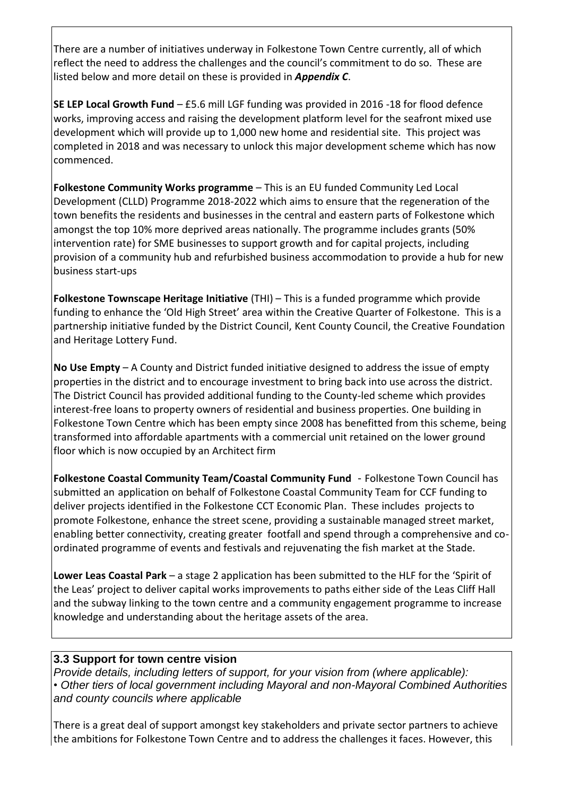There are a number of initiatives underway in Folkestone Town Centre currently, all of which reflect the need to address the challenges and the council's commitment to do so. These are listed below and more detail on these is provided in *Appendix C*.

**SE LEP Local Growth Fund** – £5.6 mill LGF funding was provided in 2016 -18 for flood defence works, improving access and raising the development platform level for the seafront mixed use development which will provide up to 1,000 new home and residential site. This project was completed in 2018 and was necessary to unlock this major development scheme which has now commenced.

**Folkestone Community Works programme** – This is an EU funded Community Led Local Development (CLLD) Programme 2018-2022 which aims to ensure that the regeneration of the town benefits the residents and businesses in the central and eastern parts of Folkestone which amongst the top 10% more deprived areas nationally. The programme includes grants (50% intervention rate) for SME businesses to support growth and for capital projects, including provision of a community hub and refurbished business accommodation to provide a hub for new business start-ups

**Folkestone Townscape Heritage Initiative** (THI) – This is a funded programme which provide funding to enhance the 'Old High Street' area within the Creative Quarter of Folkestone. This is a partnership initiative funded by the District Council, Kent County Council, the Creative Foundation and Heritage Lottery Fund.

**No Use Empty** – A County and District funded initiative designed to address the issue of empty properties in the district and to encourage investment to bring back into use across the district. The District Council has provided additional funding to the County-led scheme which provides interest-free loans to property owners of residential and business properties. One building in Folkestone Town Centre which has been empty since 2008 has benefitted from this scheme, being transformed into affordable apartments with a commercial unit retained on the lower ground floor which is now occupied by an Architect firm

**Folkestone Coastal Community Team/Coastal Community Fund** - Folkestone Town Council has submitted an application on behalf of Folkestone Coastal Community Team for CCF funding to deliver projects identified in the Folkestone CCT Economic Plan. These includes projects to promote Folkestone, enhance the street scene, providing a sustainable managed street market, enabling better connectivity, creating greater footfall and spend through a comprehensive and coordinated programme of events and festivals and rejuvenating the fish market at the Stade.

**Lower Leas Coastal Park** – a stage 2 application has been submitted to the HLF for the 'Spirit of the Leas' project to deliver capital works improvements to paths either side of the Leas Cliff Hall and the subway linking to the town centre and a community engagement programme to increase knowledge and understanding about the heritage assets of the area.

#### **3.3 Support for town centre vision**

*Provide details, including letters of support, for your vision from (where applicable): • Other tiers of local government including Mayoral and non-Mayoral Combined Authorities and county councils where applicable*

There is a great deal of support amongst key stakeholders and private sector partners to achieve the ambitions for Folkestone Town Centre and to address the challenges it faces. However, this